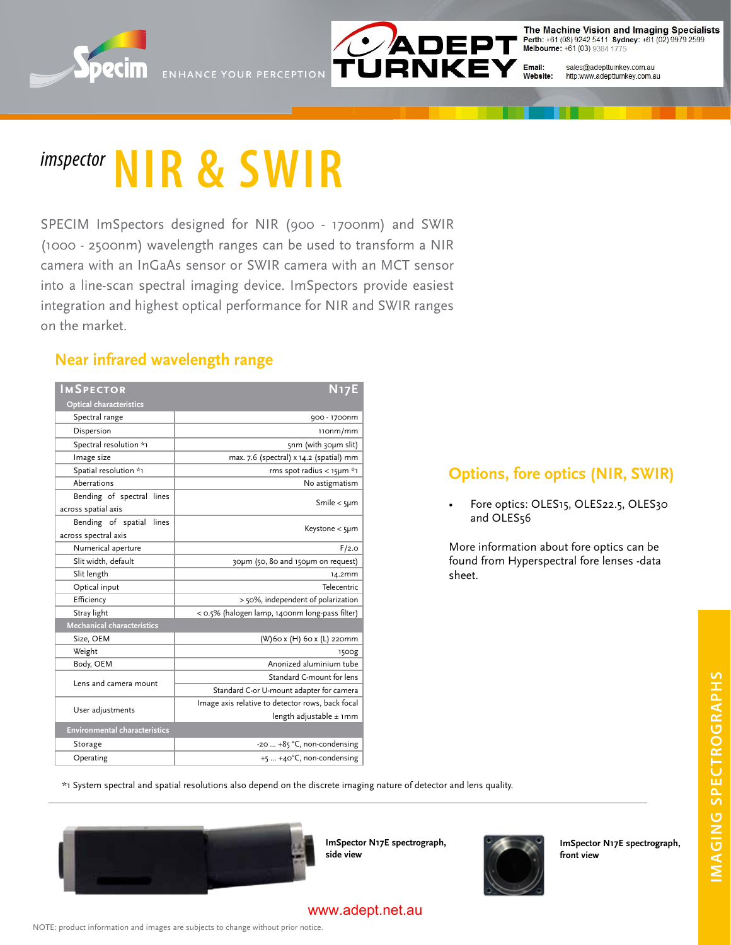



The Machine Vision and Imaging Specialists Perth: +61 (08) 9242 5411 Sydney: +61 (02) 9979 2599<br>Melbourne: +61 (03) 9384 1775

Email: sales@adeptturnkey.com.au Website: http:www.adeptturnkey.com.au

# *imspector* **NIR & SWIR**

SPECIM ImSpectors designed for NIR (900 - 1700nm) and SWIR (1000 - 2500nm) wavelength ranges can be used to transform a NIR camera with an InGaAs sensor or SWIR camera with an MCT sensor into a line-scan spectral imaging device. ImSpectors provide easiest integration and highest optical performance for NIR and SWIR ranges on the market.

## **Near infrared wavelength range**

| <b>IMSPECTOR</b>                     | <b>N17E</b>                                      |
|--------------------------------------|--------------------------------------------------|
| <b>Optical characteristics</b>       |                                                  |
| Spectral range                       | 900 - 1700nm                                     |
| Dispersion                           | 110nm/mm                                         |
| Spectral resolution *1               | snm (with 30µm slit)                             |
| Image size                           | max. 7.6 (spectral) x 14.2 (spatial) mm          |
| Spatial resolution *1                | rms spot radius < $15\mu m *1$                   |
| Aberrations                          | No astigmatism                                   |
| Bending of spectral lines            | Smile $<$ 5µm                                    |
| across spatial axis                  |                                                  |
| Bending of spatial<br>lines          | Keystone $<$ 5µm                                 |
| across spectral axis                 |                                                  |
| Numerical aperture                   | F/2.0                                            |
| Slit width, default                  | 30um (50, 80 and 150um on request)               |
| Slit length                          | 14.2mm                                           |
| Optical input                        | Telecentric                                      |
| Efficiency                           | > 50%, independent of polarization               |
| Stray light                          | < 0.5% (halogen lamp, 1400nm long-pass filter)   |
| Mechanical characteristics           |                                                  |
| Size, OEM                            | (W)60 x (H) 60 x (L) 220mm                       |
| Weight                               | 1500g                                            |
| Body, OEM                            | Anonized aluminium tube                          |
| Lens and camera mount                | Standard C-mount for lens                        |
|                                      | Standard C-or U-mount adapter for camera         |
| User adjustments                     | Image axis relative to detector rows, back focal |
|                                      | length adjustable $\pm$ 1mm                      |
| <b>Environmental characteristics</b> |                                                  |
| Storage                              | -20  +85 °C, non-condensing                      |
| Operating                            | +5  +40°C, non-condensing                        |

## **Options, fore optics (NIR, SWIR)**

• Fore optics: OLES15, OLES22.5, OLES30 and OLES<sub>56</sub>

More information about fore optics can be found from Hyperspectral fore lenses -data sheet.

\*1 System spectral and spatial resolutions also depend on the discrete imaging nature of detector and lens quality.



**ImSpector N17E spectrograph, side view**



**ImSpector N17E spectrograph,** 

**front view**